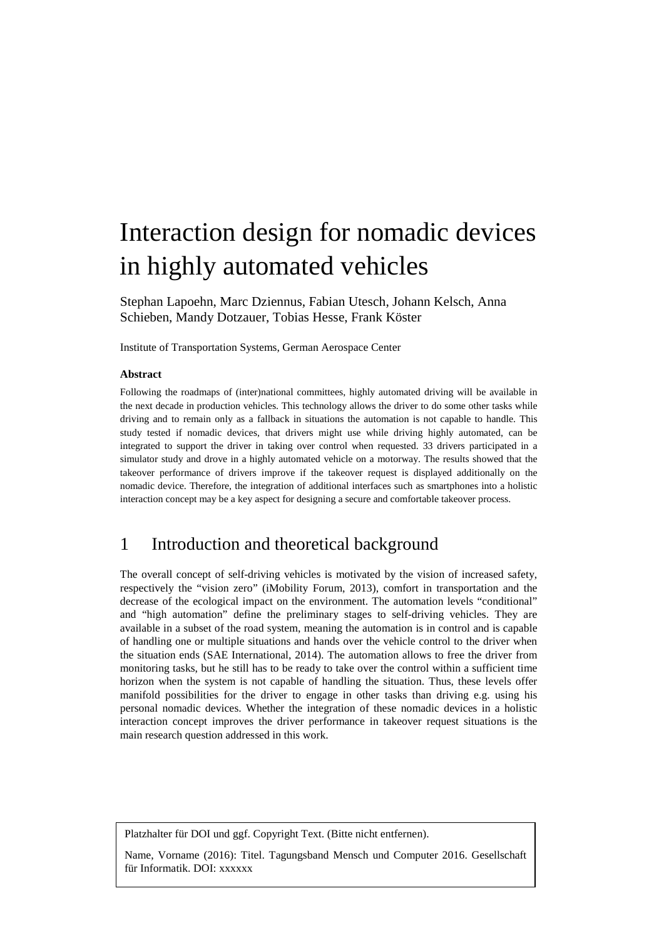# Interaction design for nomadic devices in highly automated vehicles

Stephan Lapoehn, Marc Dziennus, Fabian Utesch, Johann Kelsch, Anna Schieben, Mandy Dotzauer, Tobias Hesse, Frank Köster

Institute of Transportation Systems, German Aerospace Center

#### **Abstract**

Following the roadmaps of (inter)national committees, highly automated driving will be available in the next decade in production vehicles. This technology allows the driver to do some other tasks while driving and to remain only as a fallback in situations the automation is not capable to handle. This study tested if nomadic devices, that drivers might use while driving highly automated, can be integrated to support the driver in taking over control when requested. 33 drivers participated in a simulator study and drove in a highly automated vehicle on a motorway. The results showed that the takeover performance of drivers improve if the takeover request is displayed additionally on the nomadic device. Therefore, the integration of additional interfaces such as smartphones into a holistic interaction concept may be a key aspect for designing a secure and comfortable takeover process.

## 1 Introduction and theoretical background

The overall concept of self-driving vehicles is motivated by the vision of increased safety, respectively the "vision zero" (iMobility Forum, 2013), comfort in transportation and the decrease of the ecological impact on the environment. The automation levels "conditional" and "high automation" define the preliminary stages to self-driving vehicles. They are available in a subset of the road system, meaning the automation is in control and is capable of handling one or multiple situations and hands over the vehicle control to the driver when the situation ends (SAE International, 2014). The automation allows to free the driver from monitoring tasks, but he still has to be ready to take over the control within a sufficient time horizon when the system is not capable of handling the situation. Thus, these levels offer manifold possibilities for the driver to engage in other tasks than driving e.g. using his personal nomadic devices. Whether the integration of these nomadic devices in a holistic interaction concept improves the driver performance in takeover request situations is the main research question addressed in this work.

Platzhalter für DOI und ggf. Copyright Text. (Bitte nicht entfernen).

Name, Vorname (2016): Titel. Tagungsband Mensch und Computer 2016. Gesellschaft für Informatik. DOI: xxxxxx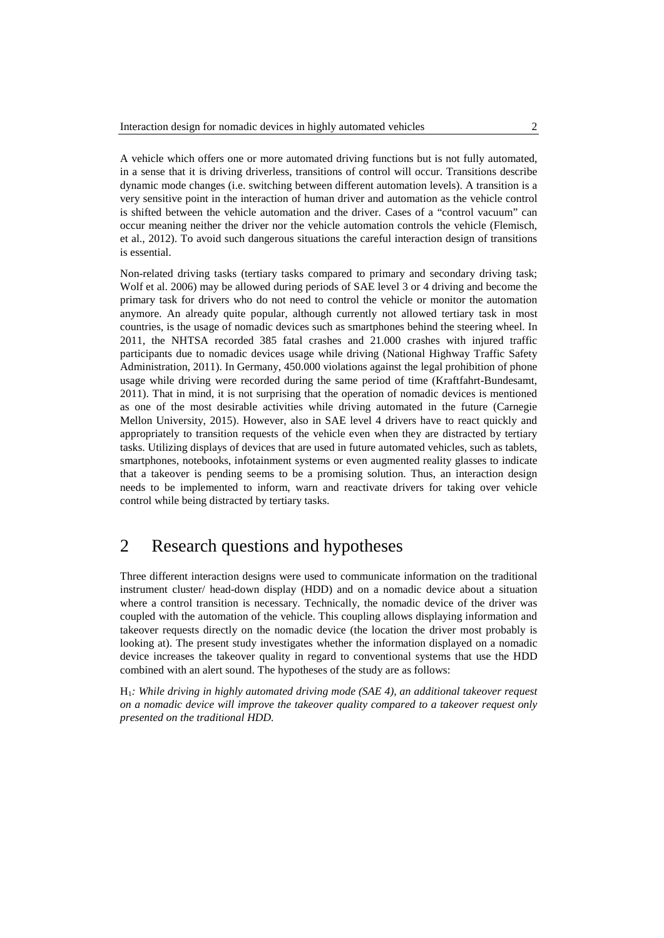A vehicle which offers one or more automated driving functions but is not fully automated, in a sense that it is driving driverless, transitions of control will occur. Transitions describe dynamic mode changes (i.e. switching between different automation levels). A transition is a very sensitive point in the interaction of human driver and automation as the vehicle control is shifted between the vehicle automation and the driver. Cases of a "control vacuum" can occur meaning neither the driver nor the vehicle automation controls the vehicle (Flemisch, et al., 2012). To avoid such dangerous situations the careful interaction design of transitions is essential.

Non-related driving tasks (tertiary tasks compared to primary and secondary driving task; Wolf et al. 2006) may be allowed during periods of SAE level 3 or 4 driving and become the primary task for drivers who do not need to control the vehicle or monitor the automation anymore. An already quite popular, although currently not allowed tertiary task in most countries, is the usage of nomadic devices such as smartphones behind the steering wheel. In 2011, the NHTSA recorded 385 fatal crashes and 21.000 crashes with injured traffic participants due to nomadic devices usage while driving (National Highway Traffic Safety Administration, 2011). In Germany, 450.000 violations against the legal prohibition of phone usage while driving were recorded during the same period of time (Kraftfahrt-Bundesamt, 2011). That in mind, it is not surprising that the operation of nomadic devices is mentioned as one of the most desirable activities while driving automated in the future (Carnegie Mellon University, 2015). However, also in SAE level 4 drivers have to react quickly and appropriately to transition requests of the vehicle even when they are distracted by tertiary tasks. Utilizing displays of devices that are used in future automated vehicles, such as tablets, smartphones, notebooks, infotainment systems or even augmented reality glasses to indicate that a takeover is pending seems to be a promising solution. Thus, an interaction design needs to be implemented to inform, warn and reactivate drivers for taking over vehicle control while being distracted by tertiary tasks.

## 2 Research questions and hypotheses

Three different interaction designs were used to communicate information on the traditional instrument cluster/ head-down display (HDD) and on a nomadic device about a situation where a control transition is necessary. Technically, the nomadic device of the driver was coupled with the automation of the vehicle. This coupling allows displaying information and takeover requests directly on the nomadic device (the location the driver most probably is looking at). The present study investigates whether the information displayed on a nomadic device increases the takeover quality in regard to conventional systems that use the HDD combined with an alert sound. The hypotheses of the study are as follows:

H1*: While driving in highly automated driving mode (SAE 4), an additional takeover request on a nomadic device will improve the takeover quality compared to a takeover request only presented on the traditional HDD.*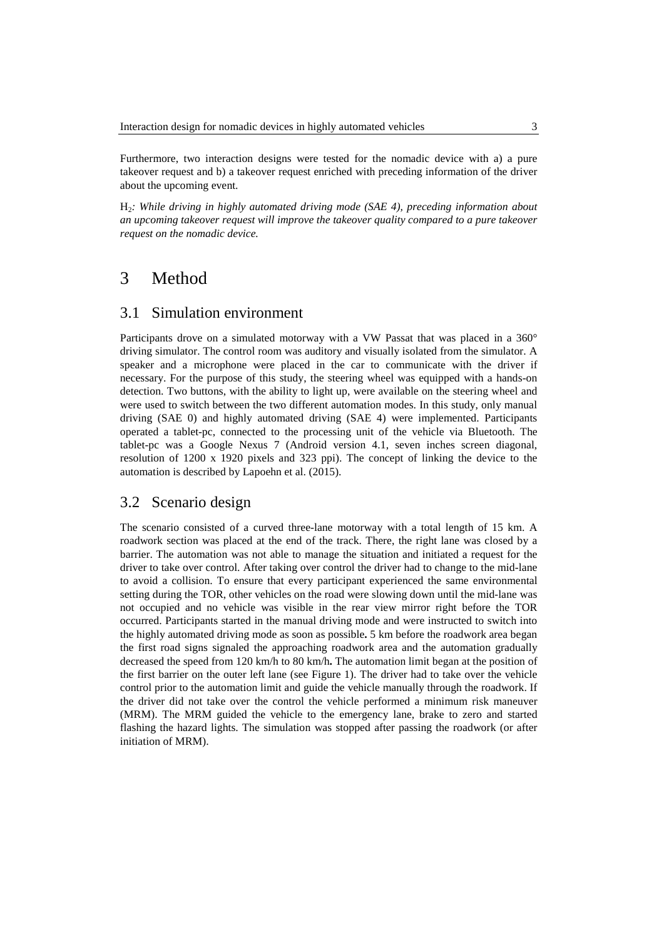Furthermore, two interaction designs were tested for the nomadic device with a) a pure takeover request and b) a takeover request enriched with preceding information of the driver about the upcoming event.

H2*: While driving in highly automated driving mode (SAE 4), preceding information about an upcoming takeover request will improve the takeover quality compared to a pure takeover request on the nomadic device.*

## 3 Method

#### 3.1 Simulation environment

Participants drove on a simulated motorway with a VW Passat that was placed in a 360° driving simulator. The control room was auditory and visually isolated from the simulator. A speaker and a microphone were placed in the car to communicate with the driver if necessary. For the purpose of this study, the steering wheel was equipped with a hands-on detection. Two buttons, with the ability to light up, were available on the steering wheel and were used to switch between the two different automation modes. In this study, only manual driving (SAE 0) and highly automated driving (SAE 4) were implemented. Participants operated a tablet-pc, connected to the processing unit of the vehicle via Bluetooth. The tablet-pc was a Google Nexus 7 (Android version 4.1, seven inches screen diagonal, resolution of 1200 x 1920 pixels and 323 ppi). The concept of linking the device to the automation is described by Lapoehn et al. (2015).

#### 3.2 Scenario design

The scenario consisted of a curved three-lane motorway with a total length of 15 km. A roadwork section was placed at the end of the track. There, the right lane was closed by a barrier. The automation was not able to manage the situation and initiated a request for the driver to take over control. After taking over control the driver had to change to the mid-lane to avoid a collision. To ensure that every participant experienced the same environmental setting during the TOR, other vehicles on the road were slowing down until the mid-lane was not occupied and no vehicle was visible in the rear view mirror right before the TOR occurred. Participants started in the manual driving mode and were instructed to switch into the highly automated driving mode as soon as possible**.** 5 km before the roadwork area began the first road signs signaled the approaching roadwork area and the automation gradually decreased the speed from 120 km/h to 80 km/h**.** The automation limit began at the position of the first barrier on the outer left lane (see [Figure 1\)](#page-3-0). The driver had to take over the vehicle control prior to the automation limit and guide the vehicle manually through the roadwork. If the driver did not take over the control the vehicle performed a minimum risk maneuver (MRM). The MRM guided the vehicle to the emergency lane, brake to zero and started flashing the hazard lights. The simulation was stopped after passing the roadwork (or after initiation of MRM).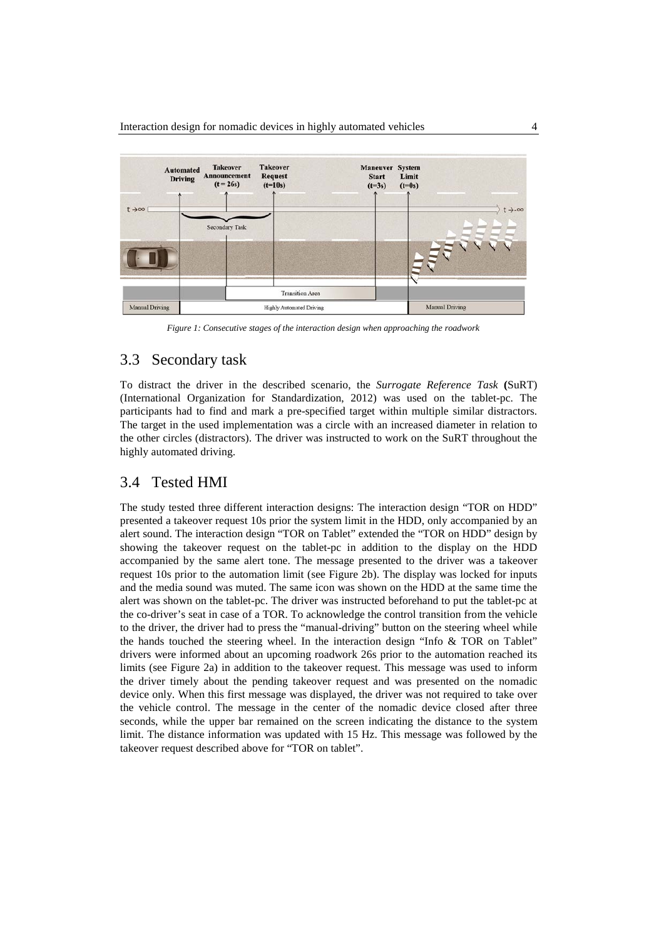

*Figure 1: Consecutive stages of the interaction design when approaching the roadwork*

### <span id="page-3-2"></span><span id="page-3-0"></span>3.3 Secondary task

To distract the driver in the described scenario, the *Surrogate Reference Task* **(**SuRT) (International Organization for Standardization, 2012) was used on the tablet-pc. The participants had to find and mark a pre-specified target within multiple similar distractors. The target in the used implementation was a circle with an increased diameter in relation to the other circles (distractors). The driver was instructed to work on the SuRT throughout the highly automated driving.

#### <span id="page-3-1"></span>3.4 Tested HMI

The study tested three different interaction designs: The interaction design "TOR on HDD" presented a takeover request 10s prior the system limit in the HDD, only accompanied by an alert sound. The interaction design "TOR on Tablet" extended the "TOR on HDD" design by showing the takeover request on the tablet-pc in addition to the display on the HDD accompanied by the same alert tone. The message presented to the driver was a takeover request 10s prior to the automation limit (see [Figure 2b](#page-4-0)). The display was locked for inputs and the media sound was muted. The same icon was shown on the HDD at the same time the alert was shown on the tablet-pc. The driver was instructed beforehand to put the tablet-pc at the co-driver's seat in case of a TOR. To acknowledge the control transition from the vehicle to the driver, the driver had to press the "manual-driving" button on the steering wheel while the hands touched the steering wheel. In the interaction design "Info & TOR on Tablet" drivers were informed about an upcoming roadwork 26s prior to the automation reached its limits (see [Figure 2a](#page-4-0)) in addition to the takeover request. This message was used to inform the driver timely about the pending takeover request and was presented on the nomadic device only. When this first message was displayed, the driver was not required to take over the vehicle control. The message in the center of the nomadic device closed after three seconds, while the upper bar remained on the screen indicating the distance to the system limit. The distance information was updated with 15 Hz. This message was followed by the takeover request described above for "TOR on tablet".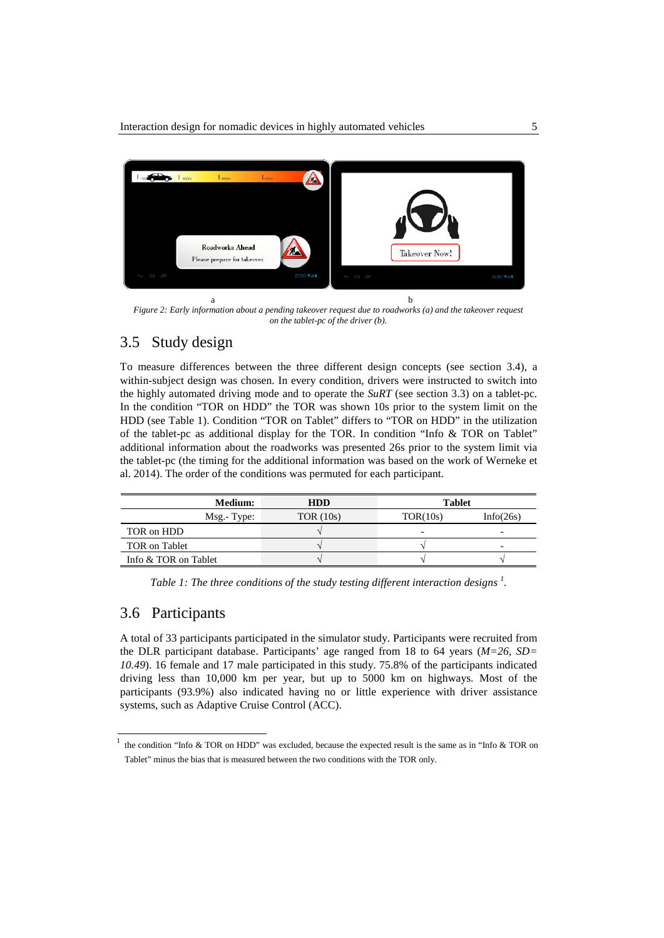

*Figure 2: Early information about a pending takeover request due to roadworks (a) and the takeover request on the tablet-pc of the driver (b).*

## <span id="page-4-0"></span>3.5 Study design

To measure differences between the three different design concepts (see section [3.4\)](#page-3-1), a within-subject design was chosen. In every condition, drivers were instructed to switch into the highly automated driving mode and to operate the *SuRT* (see section [3.3\)](#page-3-2) on a tablet-pc. In the condition "TOR on HDD" the TOR was shown 10s prior to the system limit on the HDD (see [Table 1\)](#page-4-1). Condition "TOR on Tablet" differs to "TOR on HDD" in the utilization of the tablet-pc as additional display for the TOR. In condition "Info & TOR on Tablet" additional information about the roadworks was presented 26s prior to the system limit via the tablet-pc (the timing for the additional information was based on the work of Werneke et al. 2014). The order of the conditions was permuted for each participant.

| <b>Medium:</b>       | <b>HDD</b>  | <b>Tablet</b> |           |  |
|----------------------|-------------|---------------|-----------|--|
| Msg.-Type:           | TOR $(10s)$ | TOR(10s)      | Info(26s) |  |
| TOR on HDD           |             | -             | -         |  |
| TOR on Tablet        |             |               |           |  |
| Info & TOR on Tablet |             |               |           |  |

<span id="page-4-1"></span>*Table 1: The three conditions of the study testing different interaction designs <sup>1</sup> .*

#### 3.6 Participants

A total of 33 participants participated in the simulator study. Participants were recruited from the DLR participant database. Participants' age ranged from 18 to 64 years (*M=26, SD= 10.49*). 16 female and 17 male participated in this study. 75.8% of the participants indicated driving less than 10,000 km per year, but up to 5000 km on highways. Most of the participants (93.9%) also indicated having no or little experience with driver assistance systems, such as Adaptive Cruise Control (ACC).

the condition "Info & TOR on HDD" was excluded, because the expected result is the same as in "Info & TOR on Tablet" minus the bias that is measured between the two conditions with the TOR only.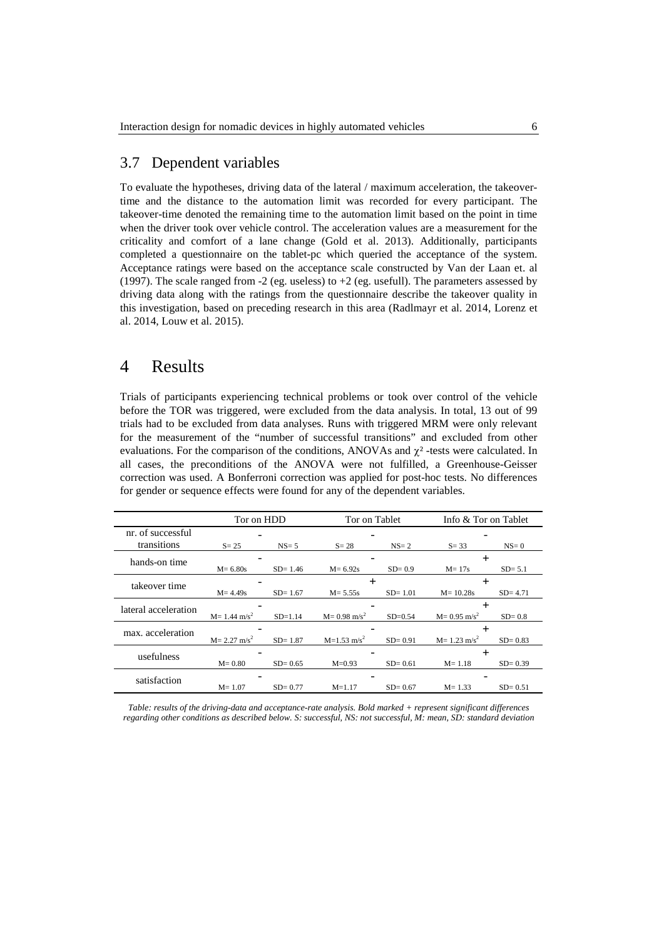### 3.7 Dependent variables

To evaluate the hypotheses, driving data of the lateral / maximum acceleration, the takeovertime and the distance to the automation limit was recorded for every participant. The takeover-time denoted the remaining time to the automation limit based on the point in time when the driver took over vehicle control. The acceleration values are a measurement for the criticality and comfort of a lane change (Gold et al. 2013). Additionally, participants completed a questionnaire on the tablet-pc which queried the acceptance of the system. Acceptance ratings were based on the acceptance scale constructed by Van der Laan et. al (1997). The scale ranged from -2 (eg. useless) to +2 (eg. usefull). The parameters assessed by driving data along with the ratings from the questionnaire describe the takeover quality in this investigation, based on preceding research in this area (Radlmayr et al. 2014, Lorenz et al. 2014, Louw et al. 2015).

## 4 Results

Trials of participants experiencing technical problems or took over control of the vehicle before the TOR was triggered, were excluded from the data analysis. In total, 13 out of 99 trials had to be excluded from data analyses. Runs with triggered MRM were only relevant for the measurement of the "number of successful transitions" and excluded from other evaluations. For the comparison of the conditions, ANOVAs and  $\chi^2$ -tests were calculated. In all cases, the preconditions of the ANOVA were not fulfilled, a Greenhouse-Geisser correction was used. A Bonferroni correction was applied for post-hoc tests. No differences for gender or sequence effects were found for any of the dependent variables.

|                      | Tor on HDD                  |             | Tor on Tablet               |             | Info & Tor on Tablet        |             |
|----------------------|-----------------------------|-------------|-----------------------------|-------------|-----------------------------|-------------|
| nr. of successful    |                             |             |                             |             |                             |             |
| transitions          | $S = 25$                    | $NS = 5$    | $S = 28$                    | $NS = 2$    | $S = 33$                    | $NS=0$      |
| hands-on time        |                             |             |                             |             |                             |             |
|                      | $M = 6.80s$                 | $SD = 1.46$ | $M = 6.92s$                 | $SD = 0.9$  | $M = 17s$                   | $SD = 5.1$  |
| takeover time        |                             |             |                             |             |                             |             |
|                      | $M = 4.49s$                 | $SD = 1.67$ | $M = 5.55s$                 | $SD = 1.01$ | $M = 10.28s$                | $SD = 4.71$ |
| lateral acceleration |                             |             |                             |             |                             |             |
|                      | $M = 1.44$ m/s <sup>2</sup> | $SD = 1.14$ | $M = 0.98$ m/s <sup>2</sup> | $SD = 0.54$ | $M = 0.95$ m/s <sup>2</sup> | $SD = 0.8$  |
| max. acceleration    |                             |             |                             |             |                             |             |
|                      | $M = 2.27$ m/s <sup>2</sup> | $SD = 1.87$ | $M=1.53$ m/s <sup>2</sup>   | $SD = 0.91$ | $M = 1.23$ m/s <sup>2</sup> | $SD = 0.83$ |
| usefulness           |                             |             |                             |             |                             |             |
|                      | $M = 0.80$                  | $SD = 0.65$ | $M = 0.93$                  | $SD = 0.61$ | $M = 1.18$                  | $SD = 0.39$ |
| satisfaction         |                             |             |                             |             |                             |             |
|                      | $M = 1.07$                  | $SD = 0.77$ | $M = 1.17$                  | $SD = 0.67$ | $M = 1.33$                  | $SD = 0.51$ |

*Table: results of the driving-data and acceptance-rate analysis. Bold marked + represent significant differences regarding other conditions as described below. S: successful, NS: not successful, M: mean, SD: standard deviation*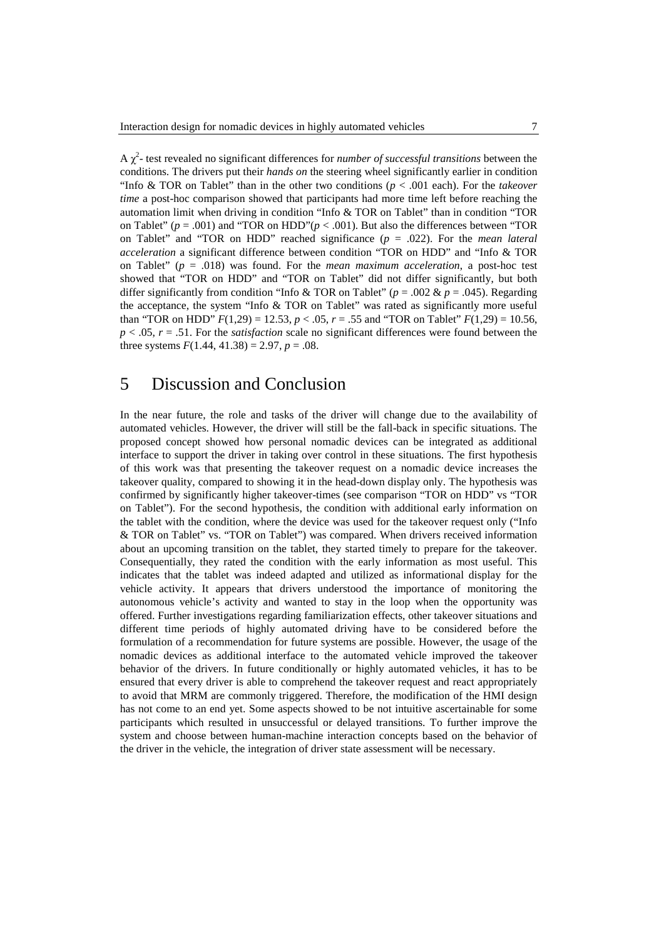A χ 2 - test revealed no significant differences for *number of successful transitions* between the conditions. The drivers put their *hands on* the steering wheel significantly earlier in condition "Info & TOR on Tablet" than in the other two conditions ( $p < .001$  each). For the *takeover time* a post-hoc comparison showed that participants had more time left before reaching the automation limit when driving in condition "Info & TOR on Tablet" than in condition "TOR on Tablet" ( $p = .001$ ) and "TOR on HDD"( $p < .001$ ). But also the differences between "TOR on Tablet" and "TOR on HDD" reached significance (*p* = .022). For the *mean lateral acceleration* a significant difference between condition "TOR on HDD" and "Info & TOR on Tablet" (*p* = .018) was found. For the *mean maximum acceleration*, a post-hoc test showed that "TOR on HDD" and "TOR on Tablet" did not differ significantly, but both differ significantly from condition "Info & TOR on Tablet" ( $p = .002$  &  $p = .045$ ). Regarding the acceptance, the system "Info & TOR on Tablet" was rated as significantly more useful than "TOR on HDD"  $F(1,29) = 12.53$ ,  $p < .05$ ,  $r = .55$  and "TOR on Tablet"  $F(1,29) = 10.56$ , *p* < .05, *r* = .51. For the *satisfaction* scale no significant differences were found between the three systems  $F(1.44, 41.38) = 2.97, p = .08$ .

## 5 Discussion and Conclusion

In the near future, the role and tasks of the driver will change due to the availability of automated vehicles. However, the driver will still be the fall-back in specific situations. The proposed concept showed how personal nomadic devices can be integrated as additional interface to support the driver in taking over control in these situations. The first hypothesis of this work was that presenting the takeover request on a nomadic device increases the takeover quality, compared to showing it in the head-down display only. The hypothesis was confirmed by significantly higher takeover-times (see comparison "TOR on HDD" vs "TOR on Tablet"). For the second hypothesis, the condition with additional early information on the tablet with the condition, where the device was used for the takeover request only ("Info & TOR on Tablet" vs. "TOR on Tablet") was compared. When drivers received information about an upcoming transition on the tablet, they started timely to prepare for the takeover. Consequentially, they rated the condition with the early information as most useful. This indicates that the tablet was indeed adapted and utilized as informational display for the vehicle activity. It appears that drivers understood the importance of monitoring the autonomous vehicle's activity and wanted to stay in the loop when the opportunity was offered. Further investigations regarding familiarization effects, other takeover situations and different time periods of highly automated driving have to be considered before the formulation of a recommendation for future systems are possible. However, the usage of the nomadic devices as additional interface to the automated vehicle improved the takeover behavior of the drivers. In future conditionally or highly automated vehicles, it has to be ensured that every driver is able to comprehend the takeover request and react appropriately to avoid that MRM are commonly triggered. Therefore, the modification of the HMI design has not come to an end yet. Some aspects showed to be not intuitive ascertainable for some participants which resulted in unsuccessful or delayed transitions. To further improve the system and choose between human-machine interaction concepts based on the behavior of the driver in the vehicle, the integration of driver state assessment will be necessary.